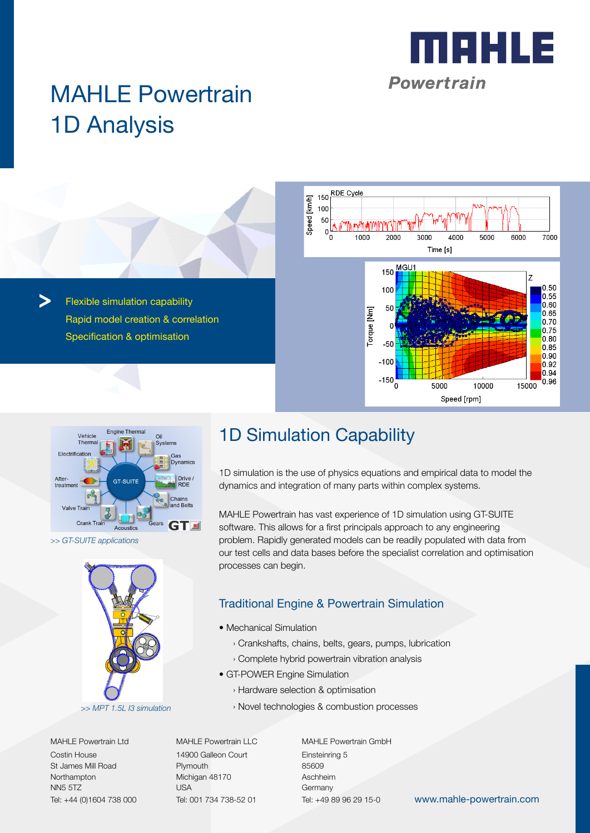

# MAHLE Powertrain 1D Analysis

Flexible simulation capability Rapid model creation & correlation Specification & optimisation





*>> GT-SUITE applications*



MAHLE Powertrain Ltd Costin House St James Mill Road Northampton NN5 5TZ Tel: +44 (0)1604 738 000

MAHLE Powertrain LLC 14900 Galleon Court Plymouth Michigan 48170 USA Tel: 001 734 738-52 01

MAHLE Powertrain GmbH Einsteinring 5 85609 Aschheim **Germany** Tel: +49 89 96 29 15-0

www.mahle-powertrain.com

## 1D Simulation Capability

1D simulation is the use of physics equations and empirical data to model the dynamics and integration of many parts within complex systems.

MAHLE Powertrain has vast experience of 1D simulation using GT-SUITE software. This allows for a first principals approach to any engineering problem. Rapidly generated models can be readily populated with data from our test cells and data bases before the specialist correlation and optimisation processes can begin.

### Traditional Engine & Powertrain Simulation

- Mechanical Simulation
	- › Crankshafts, chains, belts, gears, pumps, lubrication
	- › Complete hybrid powertrain vibration analysis
- GT-POWER Engine Simulation
	- › Hardware selection & optimisation
	- › Novel technologies & combustion processes